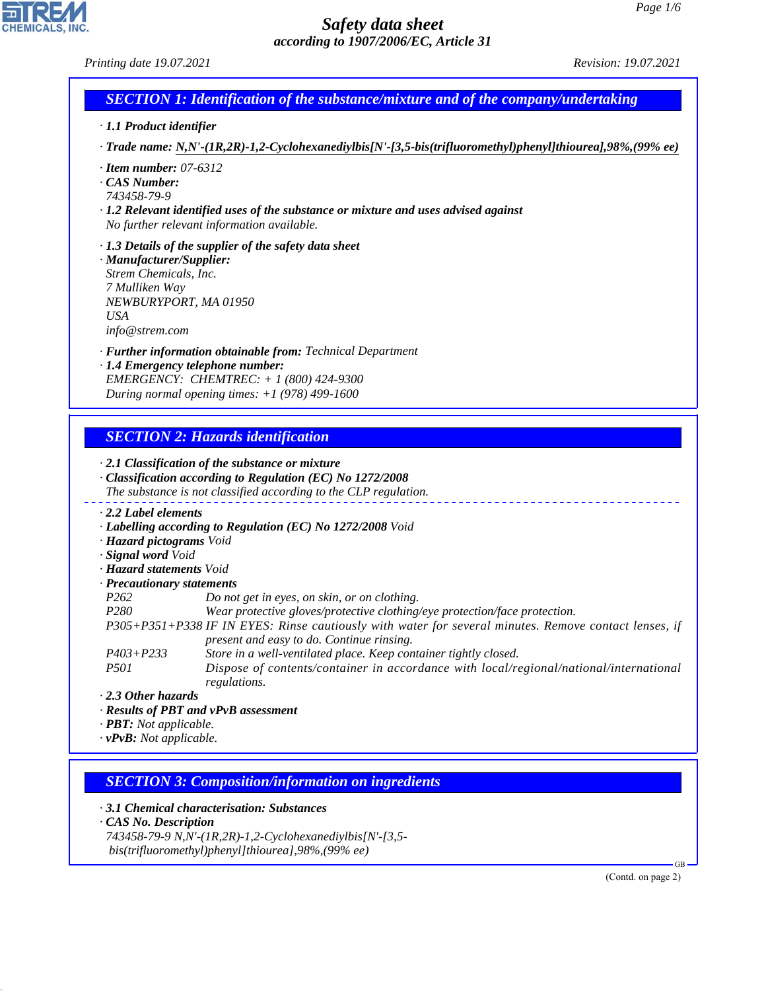*Printing date 19.07.2021 Revision: 19.07.2021*

## *SECTION 1: Identification of the substance/mixture and of the company/undertaking*

- *· 1.1 Product identifier*
- *· Trade name: N,N'-(1R,2R)-1,2-Cyclohexanediylbis[N'-[3,5-bis(trifluoromethyl)phenyl]thiourea],98%,(99% ee)*
- *· Item number: 07-6312*
- *· CAS Number:*
- *743458-79-9*
- *· 1.2 Relevant identified uses of the substance or mixture and uses advised against No further relevant information available.*
- *· 1.3 Details of the supplier of the safety data sheet*
- *· Manufacturer/Supplier: Strem Chemicals, Inc. 7 Mulliken Way NEWBURYPORT, MA 01950 USA info@strem.com*
- *· Further information obtainable from: Technical Department*
- *· 1.4 Emergency telephone number: EMERGENCY: CHEMTREC: + 1 (800) 424-9300 During normal opening times: +1 (978) 499-1600*

## *SECTION 2: Hazards identification*

#### *· 2.1 Classification of the substance or mixture · Classification according to Regulation (EC) No 1272/2008 The substance is not classified according to the CLP regulation. · 2.2 Label elements · Labelling according to Regulation (EC) No 1272/2008 Void · Hazard pictograms Void · Signal word Void · Hazard statements Void · Precautionary statements P262 Do not get in eyes, on skin, or on clothing. P280 Wear protective gloves/protective clothing/eye protection/face protection. P305+P351+P338 IF IN EYES: Rinse cautiously with water for several minutes. Remove contact lenses, if present and easy to do. Continue rinsing. P403+P233 Store in a well-ventilated place. Keep container tightly closed. P501 Dispose of contents/container in accordance with local/regional/national/international regulations.*

*· 2.3 Other hazards*

- *· Results of PBT and vPvB assessment*
- *· PBT: Not applicable.*
- *· vPvB: Not applicable.*

## *SECTION 3: Composition/information on ingredients*

*· 3.1 Chemical characterisation: Substances*

*· CAS No. Description*

44.1.1

*743458-79-9 N,N'-(1R,2R)-1,2-Cyclohexanediylbis[N'-[3,5 bis(trifluoromethyl)phenyl]thiourea],98%,(99% ee)*

(Contd. on page 2)

GB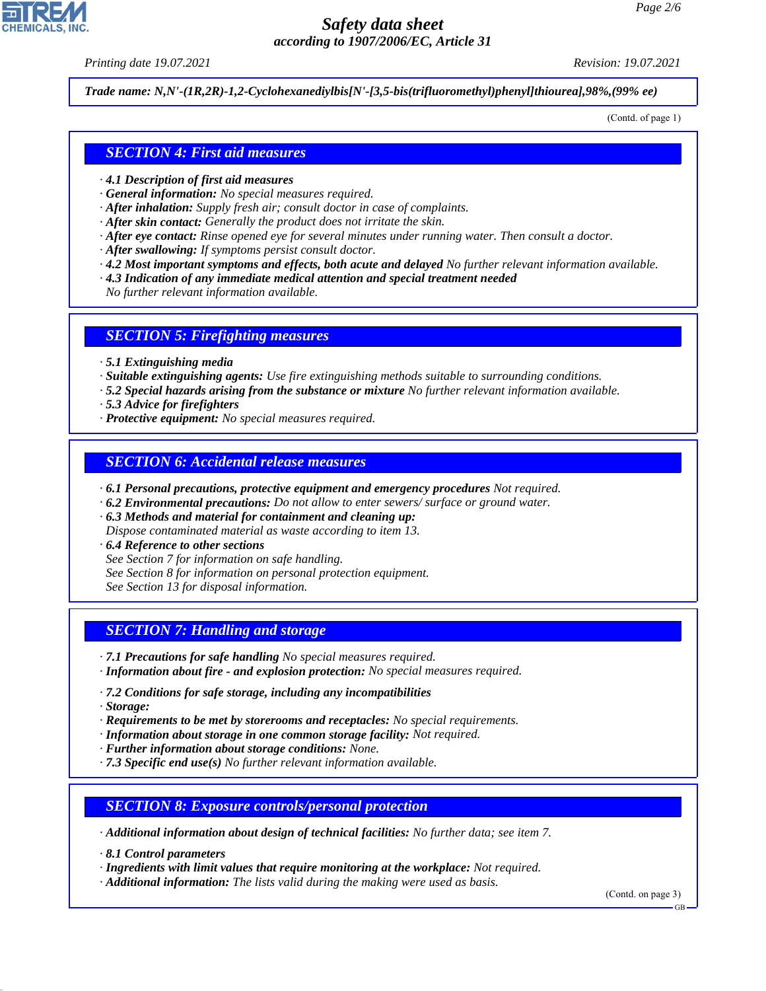*Printing date 19.07.2021 Revision: 19.07.2021*

*Trade name: N,N'-(1R,2R)-1,2-Cyclohexanediylbis[N'-[3,5-bis(trifluoromethyl)phenyl]thiourea],98%,(99% ee)*

(Contd. of page 1)

## *SECTION 4: First aid measures*

- *· 4.1 Description of first aid measures*
- *· General information: No special measures required.*
- *· After inhalation: Supply fresh air; consult doctor in case of complaints.*
- *· After skin contact: Generally the product does not irritate the skin.*
- *· After eye contact: Rinse opened eye for several minutes under running water. Then consult a doctor.*
- *· After swallowing: If symptoms persist consult doctor.*
- *· 4.2 Most important symptoms and effects, both acute and delayed No further relevant information available.*
- *· 4.3 Indication of any immediate medical attention and special treatment needed*
- *No further relevant information available.*

#### *SECTION 5: Firefighting measures*

- *· 5.1 Extinguishing media*
- *· Suitable extinguishing agents: Use fire extinguishing methods suitable to surrounding conditions.*
- *· 5.2 Special hazards arising from the substance or mixture No further relevant information available.*
- *· 5.3 Advice for firefighters*
- *· Protective equipment: No special measures required.*

#### *SECTION 6: Accidental release measures*

- *· 6.1 Personal precautions, protective equipment and emergency procedures Not required.*
- *· 6.2 Environmental precautions: Do not allow to enter sewers/ surface or ground water.*
- *· 6.3 Methods and material for containment and cleaning up: Dispose contaminated material as waste according to item 13.*
- *· 6.4 Reference to other sections*
- *See Section 7 for information on safe handling.*
- *See Section 8 for information on personal protection equipment.*
- *See Section 13 for disposal information.*

## *SECTION 7: Handling and storage*

- *· 7.1 Precautions for safe handling No special measures required.*
- *· Information about fire and explosion protection: No special measures required.*
- *· 7.2 Conditions for safe storage, including any incompatibilities*
- *· Storage:*

44.1.1

- *· Requirements to be met by storerooms and receptacles: No special requirements.*
- *· Information about storage in one common storage facility: Not required.*
- *· Further information about storage conditions: None.*
- *· 7.3 Specific end use(s) No further relevant information available.*

## *SECTION 8: Exposure controls/personal protection*

*· Additional information about design of technical facilities: No further data; see item 7.*

*· 8.1 Control parameters*

*· Ingredients with limit values that require monitoring at the workplace: Not required.*

*· Additional information: The lists valid during the making were used as basis.*

(Contd. on page 3)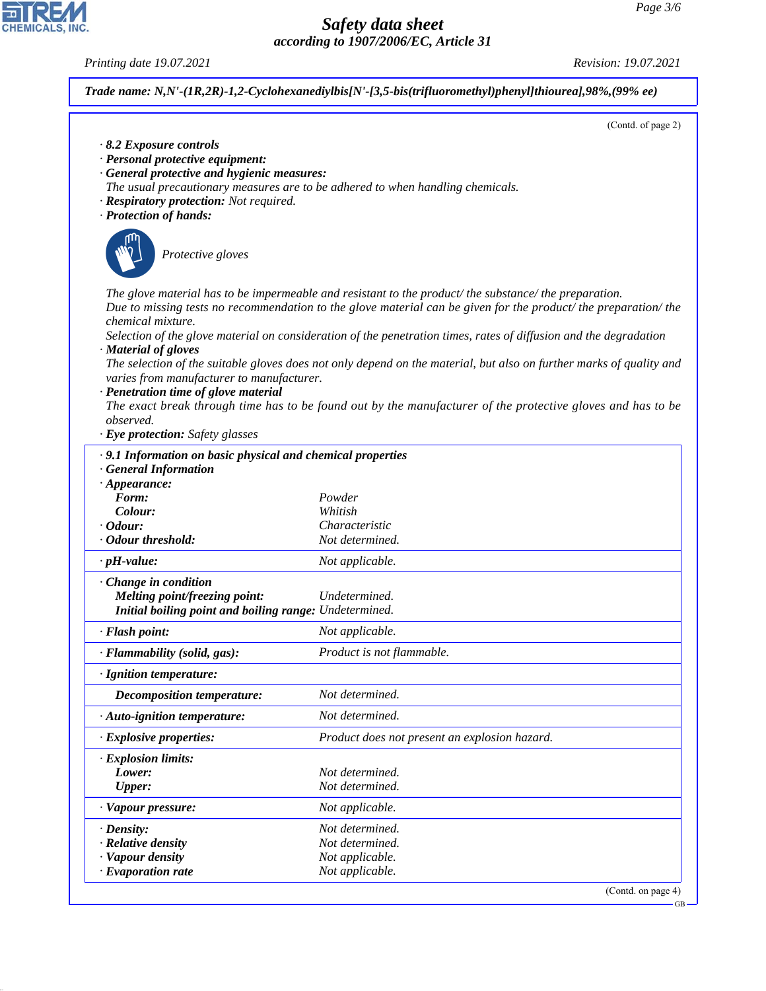GB

# *Safety data sheet according to 1907/2006/EC, Article 31*

*Printing date 19.07.2021 Revision: 19.07.2021*

CHEMICALS, INC.

44.1.1

|                                                                                              | (Contd. of page 2)                                                                                                  |
|----------------------------------------------------------------------------------------------|---------------------------------------------------------------------------------------------------------------------|
| 8.2 Exposure controls                                                                        |                                                                                                                     |
| · Personal protective equipment:                                                             |                                                                                                                     |
| · General protective and hygienic measures:                                                  |                                                                                                                     |
|                                                                                              | The usual precautionary measures are to be adhered to when handling chemicals.                                      |
| · Respiratory protection: Not required.                                                      |                                                                                                                     |
| · Protection of hands:                                                                       |                                                                                                                     |
|                                                                                              |                                                                                                                     |
| Protective gloves                                                                            |                                                                                                                     |
|                                                                                              |                                                                                                                     |
|                                                                                              | The glove material has to be impermeable and resistant to the product/the substance/the preparation.                |
|                                                                                              | Due to missing tests no recommendation to the glove material can be given for the product/ the preparation/ the     |
| chemical mixture.                                                                            |                                                                                                                     |
|                                                                                              | Selection of the glove material on consideration of the penetration times, rates of diffusion and the degradation   |
| · Material of gloves                                                                         |                                                                                                                     |
| varies from manufacturer to manufacturer.                                                    | The selection of the suitable gloves does not only depend on the material, but also on further marks of quality and |
| · Penetration time of glove material                                                         |                                                                                                                     |
|                                                                                              | The exact break through time has to be found out by the manufacturer of the protective gloves and has to be         |
| observed.                                                                                    |                                                                                                                     |
| · Eye protection: Safety glasses                                                             |                                                                                                                     |
| · 9.1 Information on basic physical and chemical properties                                  |                                                                                                                     |
| <b>General Information</b>                                                                   |                                                                                                                     |
| $\cdot$ Appearance:                                                                          |                                                                                                                     |
| Form:                                                                                        | Powder                                                                                                              |
| Colour:<br>$\cdot$ Odour:                                                                    | Whitish<br>Characteristic                                                                                           |
| · Odour threshold:                                                                           |                                                                                                                     |
|                                                                                              |                                                                                                                     |
|                                                                                              | Not determined.                                                                                                     |
| $\cdot$ pH-value:                                                                            | Not applicable.                                                                                                     |
| Change in condition                                                                          |                                                                                                                     |
| Melting point/freezing point:                                                                | Undetermined.                                                                                                       |
| Initial boiling point and boiling range: Undetermined.                                       |                                                                                                                     |
| · Flash point:                                                                               | Not applicable.                                                                                                     |
|                                                                                              | Product is not flammable.                                                                                           |
| · Flammability (solid, gas):<br>· Ignition temperature:<br><b>Decomposition temperature:</b> | Not determined.                                                                                                     |
| · Auto-ignition temperature:                                                                 | Not determined.                                                                                                     |
| · Explosive properties:                                                                      | Product does not present an explosion hazard.                                                                       |
|                                                                                              |                                                                                                                     |
| · Explosion limits:<br>Lower:                                                                | Not determined.                                                                                                     |
| <b>Upper:</b>                                                                                | Not determined.                                                                                                     |
| · Vapour pressure:                                                                           | Not applicable.                                                                                                     |
| $\cdot$ Density:                                                                             | Not determined.                                                                                                     |
|                                                                                              | Not determined.                                                                                                     |
| $\cdot$ Relative density<br>· Vapour density<br>· Evaporation rate                           | Not applicable.<br>Not applicable.                                                                                  |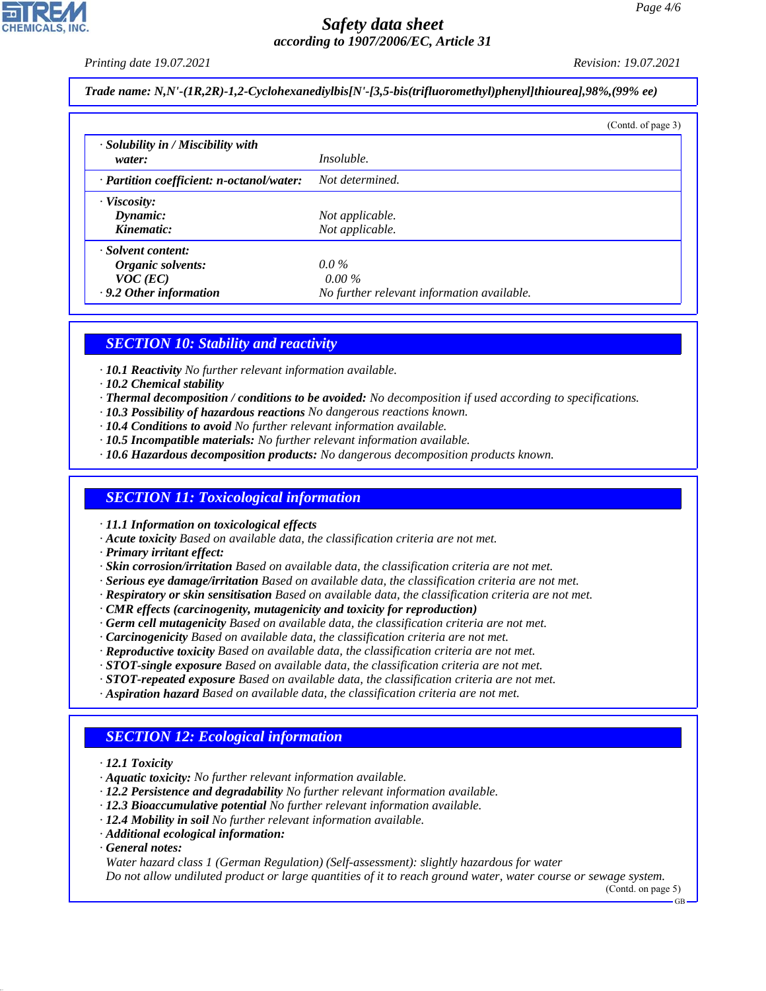*Printing date 19.07.2021 Revision: 19.07.2021*

*Trade name: N,N'-(1R,2R)-1,2-Cyclohexanediylbis[N'-[3,5-bis(trifluoromethyl)phenyl]thiourea],98%,(99% ee)*

|                                                           |                                            | (Contd. of page 3) |
|-----------------------------------------------------------|--------------------------------------------|--------------------|
| $\cdot$ Solubility in / Miscibility with                  |                                            |                    |
| water:                                                    | <i>Insoluble.</i>                          |                    |
| · Partition coefficient: n-octanol/water: Not determined. |                                            |                    |
| $\cdot$ Viscosity:                                        |                                            |                    |
| $D$ <i>ynamic</i> :                                       | Not applicable.                            |                    |
| Kinematic:                                                | Not applicable.                            |                    |
| · Solvent content:                                        |                                            |                    |
| Organic solvents:                                         | $0.0\%$                                    |                    |
| $VOC$ (EC)                                                | $0.00\%$                                   |                    |
| $\cdot$ 9.2 Other information                             | No further relevant information available. |                    |

### *SECTION 10: Stability and reactivity*

- *· 10.1 Reactivity No further relevant information available.*
- *· 10.2 Chemical stability*
- *· Thermal decomposition / conditions to be avoided: No decomposition if used according to specifications.*
- *· 10.3 Possibility of hazardous reactions No dangerous reactions known.*
- *· 10.4 Conditions to avoid No further relevant information available.*
- *· 10.5 Incompatible materials: No further relevant information available.*
- *· 10.6 Hazardous decomposition products: No dangerous decomposition products known.*

#### *SECTION 11: Toxicological information*

*· 11.1 Information on toxicological effects*

- *· Acute toxicity Based on available data, the classification criteria are not met.*
- *· Primary irritant effect:*
- *· Skin corrosion/irritation Based on available data, the classification criteria are not met.*
- *· Serious eye damage/irritation Based on available data, the classification criteria are not met.*
- *· Respiratory or skin sensitisation Based on available data, the classification criteria are not met.*
- *· CMR effects (carcinogenity, mutagenicity and toxicity for reproduction)*
- *· Germ cell mutagenicity Based on available data, the classification criteria are not met.*
- *· Carcinogenicity Based on available data, the classification criteria are not met.*
- *· Reproductive toxicity Based on available data, the classification criteria are not met.*
- *· STOT-single exposure Based on available data, the classification criteria are not met.*
- *· STOT-repeated exposure Based on available data, the classification criteria are not met.*
- *· Aspiration hazard Based on available data, the classification criteria are not met.*

## *SECTION 12: Ecological information*

- *· 12.1 Toxicity*
- *· Aquatic toxicity: No further relevant information available.*
- *· 12.2 Persistence and degradability No further relevant information available.*
- *· 12.3 Bioaccumulative potential No further relevant information available.*
- *· 12.4 Mobility in soil No further relevant information available.*
- *· Additional ecological information:*
- *· General notes:*

44.1.1

*Water hazard class 1 (German Regulation) (Self-assessment): slightly hazardous for water Do not allow undiluted product or large quantities of it to reach ground water, water course or sewage system.*

(Contd. on page 5)

GB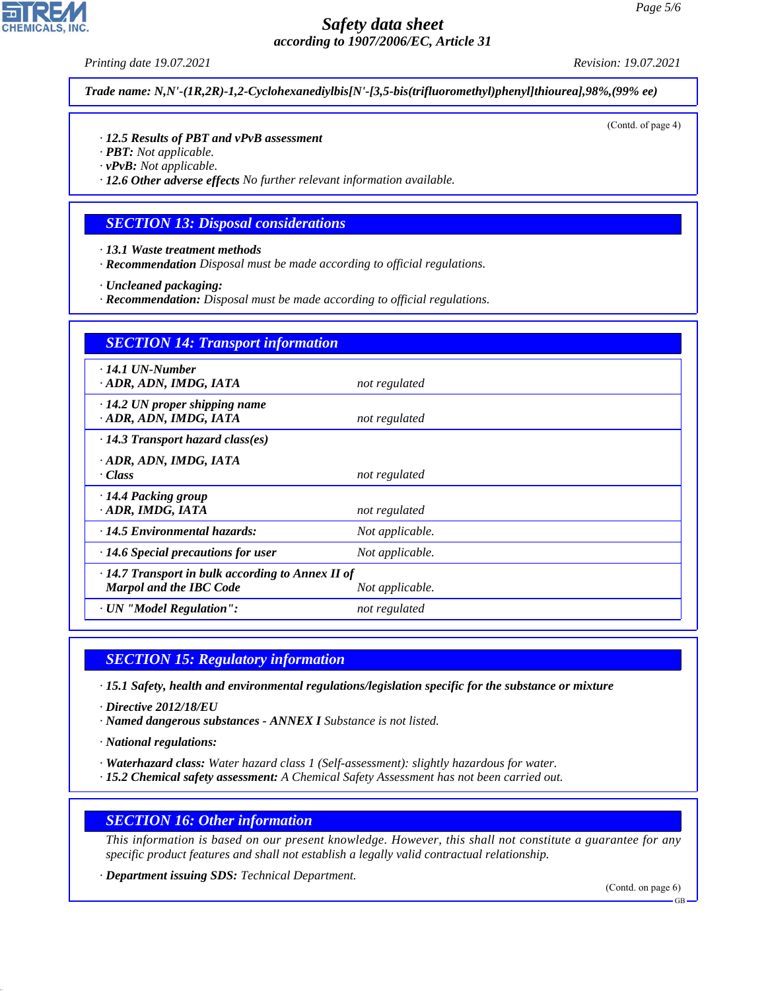*Printing date 19.07.2021 Revision: 19.07.2021*

*Trade name: N,N'-(1R,2R)-1,2-Cyclohexanediylbis[N'-[3,5-bis(trifluoromethyl)phenyl]thiourea],98%,(99% ee)*

(Contd. of page 4)

#### *· 12.5 Results of PBT and vPvB assessment*

- *· PBT: Not applicable.*
- *· vPvB: Not applicable.*

*· 12.6 Other adverse effects No further relevant information available.*

#### *SECTION 13: Disposal considerations*

- *· 13.1 Waste treatment methods*
- *· Recommendation Disposal must be made according to official regulations.*
- *· Uncleaned packaging:*
- *· Recommendation: Disposal must be made according to official regulations.*

| <b>SECTION 14: Transport information</b>                                                  |                 |  |
|-------------------------------------------------------------------------------------------|-----------------|--|
| $\cdot$ 14.1 UN-Number<br>· ADR, ADN, IMDG, IATA                                          | not regulated   |  |
| $\cdot$ 14.2 UN proper shipping name<br>· ADR, ADN, IMDG, IATA                            | not regulated   |  |
| $\cdot$ 14.3 Transport hazard class(es)                                                   |                 |  |
| · ADR, ADN, IMDG, IATA<br>· Class                                                         | not regulated   |  |
| · 14.4 Packing group<br>· ADR, IMDG, IATA                                                 | not regulated   |  |
| $\cdot$ 14.5 Environmental hazards:                                                       | Not applicable. |  |
| $\cdot$ 14.6 Special precautions for user                                                 | Not applicable. |  |
| $\cdot$ 14.7 Transport in bulk according to Annex II of<br><b>Marpol and the IBC Code</b> | Not applicable. |  |
| · UN "Model Regulation":                                                                  | not regulated   |  |

### *SECTION 15: Regulatory information*

*· 15.1 Safety, health and environmental regulations/legislation specific for the substance or mixture*

- *· Directive 2012/18/EU*
- *· Named dangerous substances ANNEX I Substance is not listed.*
- *· National regulations:*

44.1.1

- *· Waterhazard class: Water hazard class 1 (Self-assessment): slightly hazardous for water.*
- *· 15.2 Chemical safety assessment: A Chemical Safety Assessment has not been carried out.*

#### *SECTION 16: Other information*

*This information is based on our present knowledge. However, this shall not constitute a guarantee for any specific product features and shall not establish a legally valid contractual relationship.*

*· Department issuing SDS: Technical Department.*

(Contd. on page 6)



GB